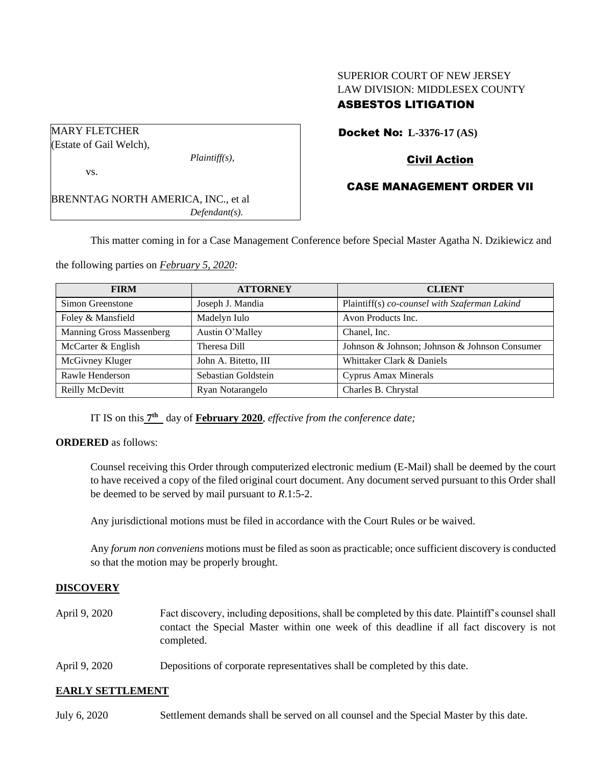# SUPERIOR COURT OF NEW JERSEY LAW DIVISION: MIDDLESEX COUNTY ASBESTOS LITIGATION

| <b>MARY FLETCHER</b>                       |                  |  |
|--------------------------------------------|------------------|--|
| (Estate of Gail Welch),                    |                  |  |
|                                            | $Plaintiff(s)$ , |  |
| VS.                                        |                  |  |
|                                            |                  |  |
| <b>BRENNTAG NORTH AMERICA, INC., et al</b> |                  |  |
|                                            | $Defendant(s)$ . |  |

Docket No: **L-3376-17 (AS)** 

# Civil Action

# CASE MANAGEMENT ORDER VII

This matter coming in for a Case Management Conference before Special Master Agatha N. Dzikiewicz and

the following parties on *February 5, 2020:*

| <b>FIRM</b>              | <b>ATTORNEY</b>      | <b>CLIENT</b>                                 |
|--------------------------|----------------------|-----------------------------------------------|
| Simon Greenstone         | Joseph J. Mandia     | Plaintiff(s) co-counsel with Szaferman Lakind |
| Foley & Mansfield        | Madelyn Iulo         | Avon Products Inc.                            |
| Manning Gross Massenberg | Austin O'Malley      | Chanel, Inc.                                  |
| McCarter & English       | Theresa Dill         | Johnson & Johnson; Johnson & Johnson Consumer |
| McGivney Kluger          | John A. Bitetto, III | Whittaker Clark & Daniels                     |
| Rawle Henderson          | Sebastian Goldstein  | Cyprus Amax Minerals                          |
| Reilly McDevitt          | Ryan Notarangelo     | Charles B. Chrystal                           |

IT IS on this  $7<sup>th</sup>$  day of **February 2020**, *effective from the conference date*;

#### **ORDERED** as follows:

Counsel receiving this Order through computerized electronic medium (E-Mail) shall be deemed by the court to have received a copy of the filed original court document. Any document served pursuant to this Order shall be deemed to be served by mail pursuant to *R*.1:5-2.

Any jurisdictional motions must be filed in accordance with the Court Rules or be waived.

Any *forum non conveniens* motions must be filed as soon as practicable; once sufficient discovery is conducted so that the motion may be properly brought.

#### **DISCOVERY**

- April 9, 2020 Fact discovery, including depositions, shall be completed by this date. Plaintiff's counsel shall contact the Special Master within one week of this deadline if all fact discovery is not completed.
- April 9, 2020 Depositions of corporate representatives shall be completed by this date.

#### **EARLY SETTLEMENT**

July 6, 2020 Settlement demands shall be served on all counsel and the Special Master by this date.